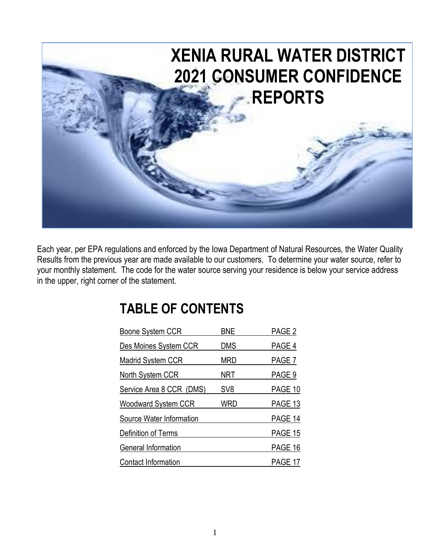

Each year, per EPA regulations and enforced by the Iowa Department of Natural Resources, the Water Quality Results from the previous year are made available to our customers. To determine your water source, refer to your monthly statement. The code for the water source serving your residence is below your service address in the upper, right corner of the statement.

## **TABLE OF CONTENTS**

| Boone System CCR           | <b>BNE</b>      | PAGE <sub>2</sub> |
|----------------------------|-----------------|-------------------|
| Des Moines System CCR      | <b>DMS</b>      | PAGE 4            |
| <b>Madrid System CCR</b>   | <b>MRD</b>      | PAGE 7            |
| North System CCR           | NRT             | PAGE 9            |
| Service Area 8 CCR (DMS)   | SV <sub>8</sub> | PAGE 10           |
| <b>Woodward System CCR</b> | WRD             | PAGE 13           |
| Source Water Information   |                 | PAGE 14           |
| Definition of Terms        |                 | PAGE 15           |
| General Information        |                 | PAGE 16           |
| <b>Contact Information</b> |                 | PAGE 17           |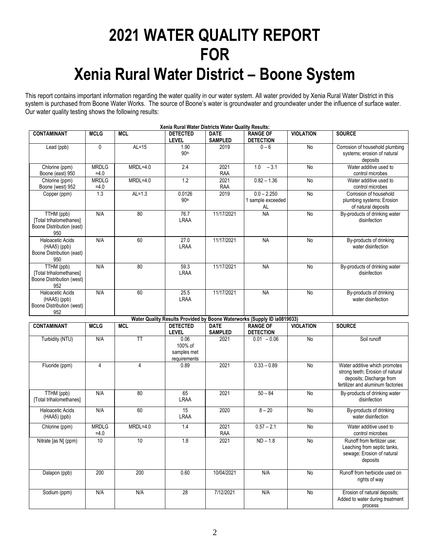# **2021 WATER QUALITY REPORT FOR Xenia Rural Water District – Boone System**

This report contains important information regarding the water quality in our water system. All water provided by Xenia Rural Water District in this system is purchased from Boone Water Works. The source of Boone's water is groundwater and groundwater under the influence of surface water. Our water quality testing shows the following results:

| Xenia Rural Water Districts Water Quality Results:                          |                        |                         |                                                |                               |                                                                          |                  |                                                                                                                                    |  |  |  |
|-----------------------------------------------------------------------------|------------------------|-------------------------|------------------------------------------------|-------------------------------|--------------------------------------------------------------------------|------------------|------------------------------------------------------------------------------------------------------------------------------------|--|--|--|
| <b>CONTAMINANT</b>                                                          | <b>MCLG</b>            | <b>MCL</b>              | <b>DETECTED</b><br><b>LEVEL</b>                | <b>DATE</b><br><b>SAMPLED</b> | <b>RANGE OF</b><br><b>DETECTION</b>                                      | <b>VIOLATION</b> | <b>SOURCE</b>                                                                                                                      |  |  |  |
| Lead (ppb)                                                                  | 0                      | $AL=15$                 | 1.90<br>90 <sup>th</sup>                       | 2019                          | $0 - 6$                                                                  | No               | Corrosion of household plumbing<br>systems; erosion of natural<br>deposits                                                         |  |  |  |
| Chlorine (ppm)<br>Boone (east) 950                                          | <b>MRDLG</b><br>$=4.0$ | $MRDL=4.0$              | 2.4                                            | 2021<br>RAA                   | $-3.1$<br>1.0                                                            | No               | Water additive used to<br>control microbes                                                                                         |  |  |  |
| Chlorine (ppm)<br>Boone (west) 952                                          | <b>MRDLG</b><br>$=4.0$ | $MRDL=4.0$              | 1.2                                            | 2021<br>RAA                   | $0.82 - 1.36$                                                            | No               | Water additive used to<br>control microbes                                                                                         |  |  |  |
| Copper (ppm)                                                                | 1.3                    | $AL=1.3$                | 0.0126<br>90th                                 | 2019                          | $0.0 - 2.250$<br>1 sample exceeded<br>AL                                 | No               | Corrosion of household<br>plumbing systems; Erosion<br>of natural deposits                                                         |  |  |  |
| TTHM (ppb)<br>[Total trihalomethanes]<br>Boone Distribution (east)<br>950   | N/A                    | 80                      | 76.7<br><b>LRAA</b>                            | 11/17/2021                    | <b>NA</b>                                                                | <b>No</b>        | By-products of drinking water<br>disinfection                                                                                      |  |  |  |
| <b>Haloacetic Acids</b><br>(HAA5) (ppb)<br>Boone Distribution (east)<br>950 | N/A                    | 60                      | 27.0<br><b>LRAA</b>                            | 11/17/2021                    | <b>NA</b>                                                                | No               | By-products of drinking<br>water disinfection                                                                                      |  |  |  |
| TTHM (ppb)<br>[Total trihalomethanes]<br>Boone Distribution (west)<br>952   | N/A                    | 80                      | 59.3<br><b>LRAA</b>                            | 11/17/2021                    | <b>NA</b>                                                                | <b>No</b>        | By-products of drinking water<br>disinfection                                                                                      |  |  |  |
| <b>Haloacetic Acids</b><br>(HAA5) (ppb)<br>Boone Distribution (west)<br>952 | N/A                    | 60                      | 25.5<br><b>LRAA</b>                            | 11/17/2021                    | <b>NA</b>                                                                | <b>No</b>        | By-products of drinking<br>water disinfection                                                                                      |  |  |  |
|                                                                             |                        |                         |                                                |                               | Water Quality Results Provided by Boone Waterworks (Supply ID ia0819033) |                  |                                                                                                                                    |  |  |  |
| <b>CONTAMINANT</b>                                                          | <b>MCLG</b>            | <b>MCL</b>              | <b>DETECTED</b><br>LEVEL                       | <b>DATE</b><br><b>SAMPLED</b> | <b>RANGE OF</b><br><b>DETECTION</b>                                      | <b>VIOLATION</b> | <b>SOURCE</b>                                                                                                                      |  |  |  |
| Turbidity (NTU)                                                             | N/A                    | $\overline{\mathsf{H}}$ | 0.06<br>100% of<br>samples met<br>requirements | 2021                          | $0.01 - 0.06$                                                            | <b>No</b>        | Soil runoff                                                                                                                        |  |  |  |
| Fluoride (ppm)                                                              | 4                      | 4                       | 0.89                                           | 2021                          | $0.33 - 0.89$                                                            | N <sub>o</sub>   | Water additive which promotes<br>strong teeth; Erosion of natural<br>deposits; Discharge from<br>fertilizer and aluminum factories |  |  |  |
| TTHM (ppb)<br>[Total trihalomethanes]                                       | N/A                    | 80                      | 65<br><b>LRAA</b>                              | 2021                          | $50 - 84$                                                                | <b>No</b>        | By-products of drinking water<br>disinfection                                                                                      |  |  |  |
| Haloacetic Acids<br>$(HAA5)$ (ppb)                                          | N/A                    | 60                      | 15<br><b>LRAA</b>                              | 2020                          | $8 - 20$                                                                 | No               | By-products of drinking<br>water disinfection                                                                                      |  |  |  |
| Chlorine (ppm)                                                              | <b>MRDLG</b><br>$=4.0$ | $MRDL=4.0$              | 1.4                                            | 2021<br>RAA                   | $0.57 - 2.1$                                                             | No               | Water additive used to<br>control microbes                                                                                         |  |  |  |
| Nitrate [as N] (ppm)                                                        | 10                     | 10                      | 1.8                                            | 2021                          | $ND - 1.8$                                                               | <b>No</b>        | Runoff from fertilizer use;<br>Leaching from septic tanks,<br>sewage; Erosion of natural<br>deposits                               |  |  |  |
| Dalapon (ppb)                                                               | 200                    | 200                     | 0.60                                           | 10/04/2021                    | N/A                                                                      | No               | Runoff from herbicide used on<br>rights of way                                                                                     |  |  |  |
| Sodium (ppm)                                                                | N/A                    | N/A                     | $\overline{28}$                                | 7/12/2021                     | N/A                                                                      | No               | Erosion of natural deposits;<br>Added to water during treatment<br>process                                                         |  |  |  |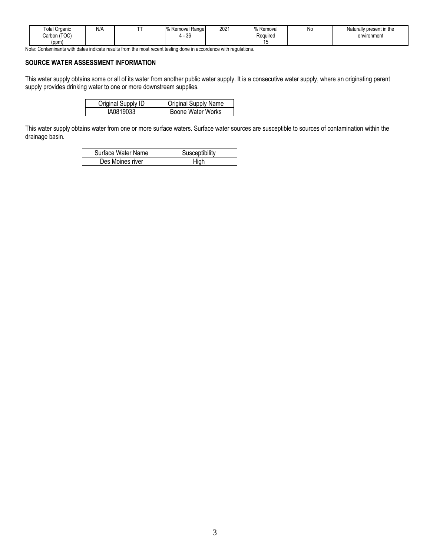| N/A<br>---<br><b>Total Organic</b><br>(TOC)<br>Carbon<br>(ppm) | . .<br>Range<br>Removal<br>$\sim$<br>. .<br>. טר | 2021 | -<br>Removal<br>Required | N0 | Naturally present in the<br>environment |
|----------------------------------------------------------------|--------------------------------------------------|------|--------------------------|----|-----------------------------------------|
|----------------------------------------------------------------|--------------------------------------------------|------|--------------------------|----|-----------------------------------------|

Note: Contaminants with dates indicate results from the most recent testing done in accordance with regulations.

#### **SOURCE WATER ASSESSMENT INFORMATION**

This water supply obtains some or all of its water from another public water supply. It is a consecutive water supply, where an originating parent supply provides drinking water to one or more downstream supplies.

| Original Supply ID | <b>Original Supply Name</b> |
|--------------------|-----------------------------|
| IA0819033          | Boone Water Works           |

This water supply obtains water from one or more surface waters. Surface water sources are susceptible to sources of contamination within the drainage basin.

| Surface Water Name | Susceptibility |
|--------------------|----------------|
| Des Moines river   | High           |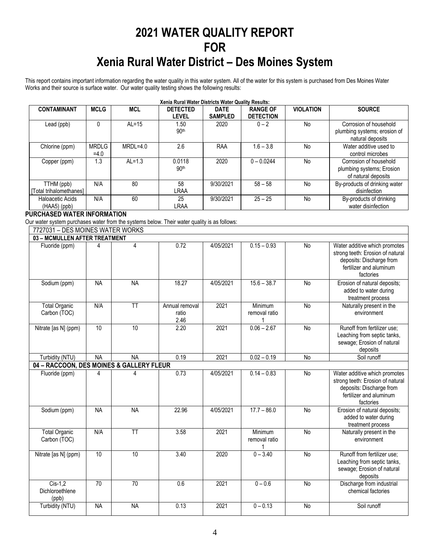## **2021 WATER QUALITY REPORT FOR Xenia Rural Water District – Des Moines System**

This report contains important information regarding the water quality in this water system. All of the water for this system is purchased from Des Moines Water Works and their source is surface water. Our water quality testing shows the following results:

| Xenia Rural Water Districts Water Quality Results: |                        |            |                                 |                               |                                     |                  |                                                                            |  |  |  |
|----------------------------------------------------|------------------------|------------|---------------------------------|-------------------------------|-------------------------------------|------------------|----------------------------------------------------------------------------|--|--|--|
| <b>CONTAMINANT</b>                                 | <b>MCLG</b>            | <b>MCL</b> | <b>DETECTED</b><br><b>LEVEL</b> | <b>DATE</b><br><b>SAMPLED</b> | <b>RANGE OF</b><br><b>DETECTION</b> | <b>VIOLATION</b> | <b>SOURCE</b>                                                              |  |  |  |
| Lead (ppb)                                         |                        | $AL=15$    | 1.50<br>90 <sup>th</sup>        | 2020                          | $0 - 2$                             | No               | Corrosion of household<br>plumbing systems; erosion of<br>natural deposits |  |  |  |
| Chlorine (ppm)                                     | <b>MRDLG</b><br>$=4.0$ | $MRDL=4.0$ | 2.6                             | RAA                           | $1.6 - 3.8$                         | No               | Water additive used to<br>control microbes                                 |  |  |  |
| Copper (ppm)                                       | 1.3                    | $AL=1.3$   | 0.0118<br>90 <sup>th</sup>      | 2020                          | $0 - 0.0244$                        | No               | Corrosion of household<br>plumbing systems; Erosion<br>of natural deposits |  |  |  |
| TTHM (ppb)<br>[Total trihalomethanes]              | N/A                    | 80         | 58<br>LRAA                      | 9/30/2021                     | $58 - 58$                           | No               | By-products of drinking water<br>disinfection                              |  |  |  |
| Haloacetic Acids<br>$(HAA5)$ (ppb)                 | N/A                    | 60         | 25<br>LRAA                      | 9/30/2021                     | $25 - 25$                           | No               | By-products of drinking<br>water disinfection                              |  |  |  |

#### **PURCHASED WATER INFORMATION**

Our water system purchases water from the systems below. Their water quality is as follows:

| 7727031 - DES MOINES WATER WORKS         |                 |                        |                                 |           |                          |                |                                                                                                                                       |
|------------------------------------------|-----------------|------------------------|---------------------------------|-----------|--------------------------|----------------|---------------------------------------------------------------------------------------------------------------------------------------|
| 03 - MCMULLEN AFTER TREATMENT            |                 |                        |                                 |           |                          |                |                                                                                                                                       |
| Fluoride (ppm)                           | 4               | 4                      | 0.72                            | 4/05/2021 | $0.15 - 0.93$            | No             | Water additive which promotes<br>strong teeth: Erosion of natural<br>deposits: Discharge from<br>fertilizer and aluminum<br>factories |
| Sodium (ppm)                             | <b>NA</b>       | <b>NA</b>              | 18.27                           | 4/05/2021 | $15.6 - 38.7$            | No             | Erosion of natural deposits;<br>added to water during<br>treatment process                                                            |
| <b>Total Organic</b><br>Carbon (TOC)     | N/A             | $\overline{\text{TT}}$ | Annual removal<br>ratio<br>2.46 | 2021      | Minimum<br>removal ratio | <b>No</b>      | Naturally present in the<br>environment                                                                                               |
| Nitrate [as N] (ppm)                     | 10              | 10                     | 2.20                            | 2021      | $0.06 - 2.67$            | <b>No</b>      | Runoff from fertilizer use;<br>Leaching from septic tanks,<br>sewage; Erosion of natural<br>deposits                                  |
| Turbidity (NTU)                          | <b>NA</b>       | <b>NA</b>              | 0.19                            | 2021      | $0.02 - 0.19$            | $\overline{N}$ | Soil runoff                                                                                                                           |
| 04 - RACCOON, DES MOINES & GALLERY FLEUR |                 |                        |                                 |           |                          |                |                                                                                                                                       |
| Fluoride (ppm)                           | 4               | 4                      | 0.73                            | 4/05/2021 | $0.14 - 0.83$            | No             | Water additive which promotes<br>strong teeth: Erosion of natural<br>deposits: Discharge from<br>fertilizer and aluminum<br>factories |
| Sodium (ppm)                             | <b>NA</b>       | <b>NA</b>              | 22.96                           | 4/05/2021 | $17.7 - 86.0$            | No             | Erosion of natural deposits;<br>added to water during<br>treatment process                                                            |
| <b>Total Organic</b><br>Carbon (TOC)     | N/A             | <b>TT</b>              | 3.58                            | 2021      | Minimum<br>removal ratio | <b>No</b>      | Naturally present in the<br>environment                                                                                               |
| Nitrate [as N] (ppm)                     | 10              | 10                     | 3.40                            | 2020      | $0 - 3.40$               | $\overline{N}$ | Runoff from fertilizer use;<br>Leaching from septic tanks,<br>sewage; Erosion of natural<br>deposits                                  |
| $Cis-1.2$<br>Dichloroethlene<br>(ppb)    | $\overline{70}$ | $\overline{70}$        | 0.6                             | 2021      | $0 - 0.6$                | <b>No</b>      | Discharge from industrial<br>chemical factories                                                                                       |
| Turbidity (NTU)                          | <b>NA</b>       | <b>NA</b>              | 0.13                            | 2021      | $0 - 0.13$               | $\overline{N}$ | Soil runoff                                                                                                                           |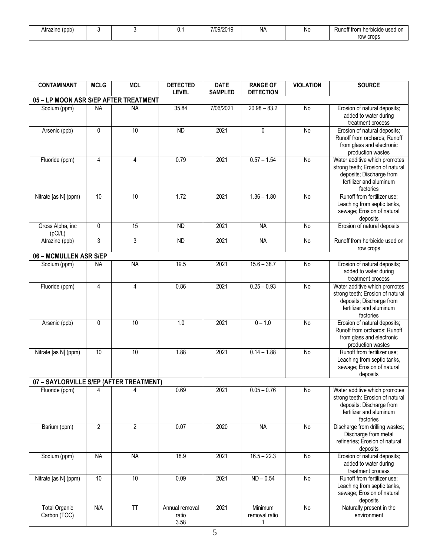| Atrazine (ppb) |  | ັບ. . | 7/09/2019 | ΝA<br>- 11 | N0 | Runoff from herbicide used on |
|----------------|--|-------|-----------|------------|----|-------------------------------|
|                |  |       |           |            |    | row crops                     |

| <b>CONTAMINANT</b>                      | <b>MCLG</b>    | <b>MCL</b>              | <b>DETECTED</b><br><b>LEVEL</b> | <b>DATE</b><br><b>SAMPLED</b> | <b>RANGE OF</b><br><b>DETECTION</b> | <b>VIOLATION</b> | <b>SOURCE</b>                                                                                                                         |
|-----------------------------------------|----------------|-------------------------|---------------------------------|-------------------------------|-------------------------------------|------------------|---------------------------------------------------------------------------------------------------------------------------------------|
| 05 - LP MOON ASR S/EP AFTER TREATMENT   |                |                         |                                 |                               |                                     |                  |                                                                                                                                       |
| Sodium (ppm)                            | <b>NA</b>      | <b>NA</b>               | 35.84                           | 7/06/2021                     | $20.98 - 83.2$                      | No               | Erosion of natural deposits;<br>added to water during<br>treatment process                                                            |
| Arsenic (ppb)                           | $\mathbf 0$    | 10                      | <b>ND</b>                       | 2021                          | 0                                   | <b>No</b>        | Erosion of natural deposits;<br>Runoff from orchards; Runoff<br>from glass and electronic<br>production wastes                        |
| Fluoride (ppm)                          | 4              | 4                       | 0.79                            | 2021                          | $0.57 - 1.54$                       | No               | Water additive which promotes<br>strong teeth; Erosion of natural<br>deposits; Discharge from<br>fertilizer and aluminum<br>factories |
| Nitrate [as N] (ppm)                    | 10             | 10                      | 1.72                            | 2021                          | $1.36 - 1.80$                       | No               | Runoff from fertilizer use;<br>Leaching from septic tanks,<br>sewage; Erosion of natural<br>deposits                                  |
| Gross Alpha, inc<br>(pCi/L)             | $\pmb{0}$      | 15                      | <b>ND</b>                       | 2021                          | <b>NA</b>                           | No               | Erosion of natural deposits                                                                                                           |
| Atrazine (ppb)                          | $\overline{3}$ | 3                       | <b>ND</b>                       | 2021                          | <b>NA</b>                           | No               | Runoff from herbicide used on<br>row crops                                                                                            |
| 06 - MCMULLEN ASR S/EP                  |                |                         |                                 |                               |                                     |                  |                                                                                                                                       |
| Sodium (ppm)                            | <b>NA</b>      | <b>NA</b>               | 19.5                            | 2021                          | $15.6 - 38.7$                       | <b>No</b>        | Erosion of natural deposits;<br>added to water during<br>treatment process                                                            |
| Fluoride (ppm)                          | $\overline{4}$ | 4                       | 0.86                            | 2021                          | $0.25 - 0.93$                       | No               | Water additive which promotes<br>strong teeth; Erosion of natural<br>deposits; Discharge from<br>fertilizer and aluminum<br>factories |
| Arsenic (ppb)                           | $\mathbf 0$    | 10                      | 1.0                             | 2021                          | $0 - 1.0$                           | No               | Erosion of natural deposits;<br>Runoff from orchards; Runoff<br>from glass and electronic<br>production wastes                        |
| Nitrate [as N] (ppm)                    | 10             | 10                      | 1.88                            | 2021                          | $0.14 - 1.88$                       | No               | Runoff from fertilizer use;<br>Leaching from septic tanks,<br>sewage; Erosion of natural<br>deposits                                  |
| 07 - SAYLORVILLE S/EP (AFTER TREATMENT) |                |                         |                                 |                               |                                     |                  |                                                                                                                                       |
| Fluoride (ppm)                          | 4              | 4                       | 0.69                            | 2021                          | $0.05 - 0.76$                       | No               | Water additive which promotes<br>strong teeth: Erosion of natural<br>deposits: Discharge from<br>fertilizer and aluminum<br>factories |
| Barium (ppm)                            | $\overline{2}$ | $\overline{2}$          | 0.07                            | 2020                          | <b>NA</b>                           | No               | Discharge from drilling wastes;<br>Discharge from metal<br>refineries; Erosion of natural<br>deposits                                 |
| Sodium (ppm)                            | <b>NA</b>      | <b>NA</b>               | 18.9                            | 2021                          | $16.5 - 22.3$                       | No               | Erosion of natural deposits;<br>added to water during<br>treatment process                                                            |
| Nitrate [as N] (ppm)                    | 10             | 10                      | 0.09                            | 2021                          | $ND - 0.54$                         | <b>No</b>        | Runoff from fertilizer use;<br>Leaching from septic tanks,<br>sewage; Erosion of natural<br>deposits                                  |
| <b>Total Organic</b><br>Carbon (TOC)    | N/A            | $\overline{\mathsf{T}}$ | Annual removal<br>ratio<br>3.58 | 2021                          | Minimum<br>removal ratio            | No               | Naturally present in the<br>environment                                                                                               |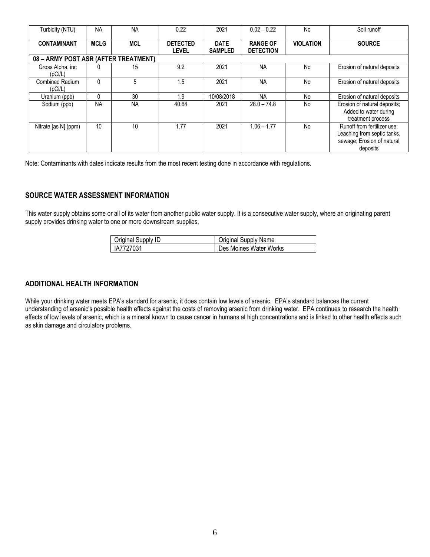| Turbidity (NTU)                      | <b>NA</b>   | <b>NA</b>  | 0.22                            | 2021                          | $0.02 - 0.22$                       | No               | Soil runoff                                                                                          |  |  |  |  |  |
|--------------------------------------|-------------|------------|---------------------------------|-------------------------------|-------------------------------------|------------------|------------------------------------------------------------------------------------------------------|--|--|--|--|--|
| <b>CONTAMINANT</b>                   | <b>MCLG</b> | <b>MCL</b> | <b>DETECTED</b><br><b>LEVEL</b> | <b>DATE</b><br><b>SAMPLED</b> | <b>RANGE OF</b><br><b>DETECTION</b> | <b>VIOLATION</b> | <b>SOURCE</b>                                                                                        |  |  |  |  |  |
| 08 - ARMY POST ASR (AFTER TREATMENT) |             |            |                                 |                               |                                     |                  |                                                                                                      |  |  |  |  |  |
| Gross Alpha, inc.<br>(pCi/L)         |             | 15         | 9.2                             | 2021                          | <b>NA</b>                           | No               | Erosion of natural deposits                                                                          |  |  |  |  |  |
| Combined Radium<br>(pCi/L)           | $\Omega$    | 5          | 1.5                             | 2021                          | <b>NA</b>                           | No               | Erosion of natural deposits                                                                          |  |  |  |  |  |
| Uranium (ppb)                        | $\Omega$    | 30         | 1.9                             | 10/08/2018                    | <b>NA</b>                           | No               | Erosion of natural deposits                                                                          |  |  |  |  |  |
| Sodium (ppb)                         | <b>NA</b>   | <b>NA</b>  | 40.64                           | 2021                          | $28.0 - 74.8$                       | No               | Erosion of natural deposits;<br>Added to water during<br>treatment process                           |  |  |  |  |  |
| Nitrate [as N] (ppm)                 | 10          | 10         | 1.77                            | 2021                          | $1.06 - 1.77$                       | No               | Runoff from fertilizer use:<br>Leaching from septic tanks,<br>sewage; Erosion of natural<br>deposits |  |  |  |  |  |

Note: Contaminants with dates indicate results from the most recent testing done in accordance with regulations.

#### **SOURCE WATER ASSESSMENT INFORMATION**

This water supply obtains some or all of its water from another public water supply. It is a consecutive water supply, where an originating parent supply provides drinking water to one or more downstream supplies.

| <b>Original Supply ID</b> | <b>Original Supply Name</b> |
|---------------------------|-----------------------------|
| IA7727031                 | Des Moines Water Works      |

#### **ADDITIONAL HEALTH INFORMATION**

While your drinking water meets EPA's standard for arsenic, it does contain low levels of arsenic. EPA's standard balances the current understanding of arsenic's possible health effects against the costs of removing arsenic from drinking water. EPA continues to research the health effects of low levels of arsenic, which is a mineral known to cause cancer in humans at high concentrations and is linked to other health effects such as skin damage and circulatory problems.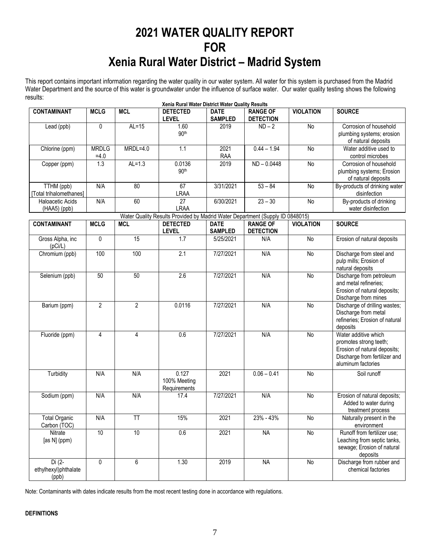## **2021 WATER QUALITY REPORT FOR Xenia Rural Water District – Madrid System**

This report contains important information regarding the water quality in our water system. All water for this system is purchased from the Madrid Water Department and the source of this water is groundwater under the influence of surface water. Our water quality testing shows the following results: **Xenia Rural Water District Water Quality Results**

|                                          |                        |                | Xenia Rural Water District Water Quality Results                              |                               |                                     |                  |                                                                                                                                       |
|------------------------------------------|------------------------|----------------|-------------------------------------------------------------------------------|-------------------------------|-------------------------------------|------------------|---------------------------------------------------------------------------------------------------------------------------------------|
| <b>CONTAMINANT</b>                       | <b>MCLG</b>            | <b>MCL</b>     | <b>DETECTED</b><br><b>LEVEL</b>                                               | <b>DATE</b><br><b>SAMPLED</b> | <b>RANGE OF</b><br><b>DETECTION</b> | <b>VIOLATION</b> | <b>SOURCE</b>                                                                                                                         |
| Lead (ppb)                               | 0                      | $AL=15$        | 1.60<br>90 <sup>th</sup>                                                      | 2019                          | $ND-2$                              | No               | Corrosion of household<br>plumbing systems; erosion<br>of natural deposits                                                            |
| Chlorine (ppm)                           | <b>MRDLG</b><br>$=4.0$ | $MRDL=4.0$     | $\overline{1.1}$                                                              | 2021<br>RAA                   | $0.44 - 1.94$                       | No               | Water additive used to<br>control microbes                                                                                            |
| Copper (ppm)                             | 1.3                    | $AL=1.3$       | 0.0136<br>90 <sup>th</sup>                                                    | 2019                          | $ND - 0.0448$                       | No               | Corrosion of household<br>plumbing systems; Erosion<br>of natural deposits                                                            |
| TTHM (ppb)<br>[Total trihalomethanes]    | N/A                    | 80             | 67<br><b>LRAA</b>                                                             | 3/31/2021                     | $53 - 84$                           | No               | By-products of drinking water<br>disinfection                                                                                         |
| Haloacetic Acids<br>(HAA5) (ppb)         | N/A                    | 60             | 27<br><b>LRAA</b>                                                             | 6/30/2021                     | $23 - 30$                           | No               | By-products of drinking<br>water disinfection                                                                                         |
|                                          |                        |                | Water Quality Results Provided by Madrid Water Department (Supply ID 0848015) |                               |                                     |                  |                                                                                                                                       |
| <b>CONTAMINANT</b>                       | <b>MCLG</b>            | <b>MCL</b>     | <b>DETECTED</b><br><b>LEVEL</b>                                               | <b>DATE</b><br><b>SAMPLED</b> | <b>RANGE OF</b><br><b>DETECTION</b> | <b>VIOLATION</b> | <b>SOURCE</b>                                                                                                                         |
| Gross Alpha, inc<br>(pCi/L)              | $\overline{0}$         | 15             | 1.7                                                                           | 5/25/2021                     | N/A                                 | $\overline{N}$   | Erosion of natural deposits                                                                                                           |
| Chromium (ppb)                           | 100                    | 100            | $\overline{2.1}$                                                              | 7/27/2021                     | N/A                                 | No               | Discharge from steel and<br>pulp mills; Erosion of<br>natural deposits                                                                |
| Selenium (ppb)                           | 50                     | 50             | $\overline{2.6}$                                                              | 7/27/2021                     | N/A                                 | No               | Discharge from petroleum<br>and metal refineries;<br>Erosion of natural deposits;<br>Discharge from mines                             |
| Barium (ppm)                             | $\overline{2}$         | $\overline{2}$ | 0.0116                                                                        | 7/27/2021                     | N/A                                 | No               | Discharge of drilling wastes;<br>Discharge from metal<br>refineries; Erosion of natural<br>deposits                                   |
| Fluoride (ppm)                           | 4                      | $\overline{4}$ | 0.6                                                                           | 7/27/2021                     | N/A                                 | No               | Water additive which<br>promotes strong teeth;<br>Erosion of natural deposits;<br>Discharge from fertilizer and<br>aluminum factories |
| Turbidity                                | N/A                    | N/A            | 0.127<br>100% Meeting<br>Requirements                                         | 2021                          | $0.06 - 0.41$                       | No               | Soil runoff                                                                                                                           |
| Sodium (ppm)                             | N/A                    | N/A            | 17.4                                                                          | 7/27/2021                     | N/A                                 | No               | Erosion of natural deposits;<br>Added to water during<br>treatment process                                                            |
| Total Organic<br>Carbon (TOC)            | N/A                    | <b>TT</b>      | 15%                                                                           | 2021                          | 23% - 43%                           | No               | Naturally present in the<br>environment                                                                                               |
| Nitrate<br>[as N] (ppm)                  | 10                     | 10             | 0.6                                                                           | 2021                          | <b>NA</b>                           | $\overline{N}$   | Runoff from fertilizer use;<br>Leaching from septic tanks,<br>sewage; Erosion of natural<br>deposits                                  |
| $Di(2-$<br>ethylhexyl)phthalate<br>(ppb) | 0                      | 6              | 1.30                                                                          | 2019                          | <b>NA</b>                           | $\mathsf{No}$    | Discharge from rubber and<br>chemical factories                                                                                       |

Note: Contaminants with dates indicate results from the most recent testing done in accordance with regulations.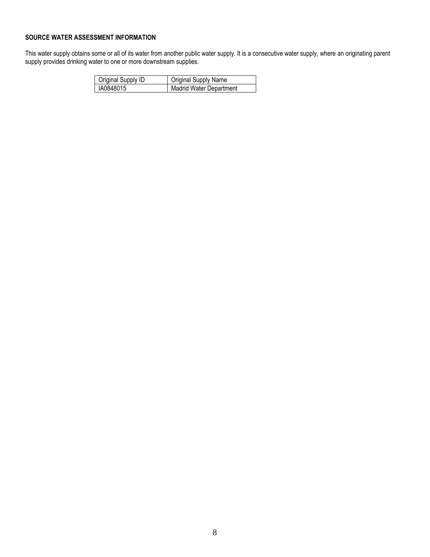#### **SOURCE WATER ASSESSMENT INFORMATION**

This water supply obtains some or all of its water from another public water supply. It is a consecutive water supply, where an originating parent supply provides drinking water to one or more downstream supplies.

| Original Supply ID | <b>Original Supply Name</b>    |
|--------------------|--------------------------------|
| IA0848015          | <b>Madrid Water Department</b> |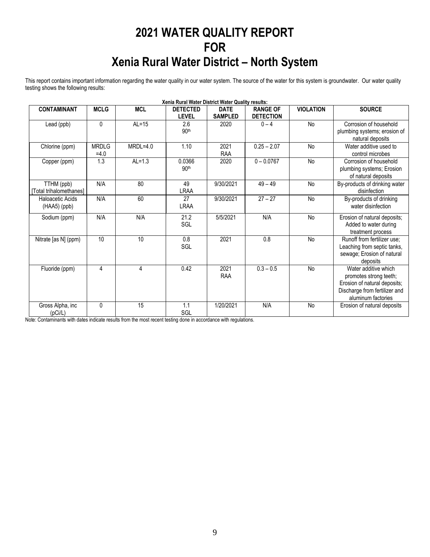## **2021 WATER QUALITY REPORT FOR Xenia Rural Water District – North System**

This report contains important information regarding the water quality in our water system. The source of the water for this system is groundwater. Our water quality testing shows the following results:

|                         |              |            | Xenia Rural Water District Water Quality results: |                |                  |                  |                                                  |
|-------------------------|--------------|------------|---------------------------------------------------|----------------|------------------|------------------|--------------------------------------------------|
| <b>CONTAMINANT</b>      | <b>MCLG</b>  | <b>MCL</b> | <b>DETECTED</b>                                   | <b>DATE</b>    | <b>RANGE OF</b>  | <b>VIOLATION</b> | <b>SOURCE</b>                                    |
|                         |              |            | <b>LEVEL</b>                                      | <b>SAMPLED</b> | <b>DETECTION</b> |                  |                                                  |
| Lead (ppb)              | 0            | $AL=15$    | 2.6                                               | 2020           | $0 - 4$          | No               | Corrosion of household                           |
|                         |              |            | 90 <sup>th</sup>                                  |                |                  |                  | plumbing systems; erosion of<br>natural deposits |
| Chlorine (ppm)          | <b>MRDLG</b> | $MRDL=4.0$ | 1.10                                              | 2021           | $0.25 - 2.07$    | No               | Water additive used to                           |
|                         | $=4.0$       |            |                                                   | <b>RAA</b>     |                  |                  | control microbes                                 |
| Copper (ppm)            | 1.3          | $AL=1.3$   | 0.0366                                            | 2020           | $0 - 0.0767$     | <b>No</b>        | Corrosion of household                           |
|                         |              |            | 90th                                              |                |                  |                  | plumbing systems; Erosion                        |
|                         |              |            |                                                   |                |                  |                  | of natural deposits                              |
| TTHM (ppb)              | N/A          | 80         | 49                                                | 9/30/2021      | $49 - 49$        | <b>No</b>        | By-products of drinking water                    |
| [Total trihalomethanes] |              |            | <b>LRAA</b>                                       |                |                  |                  | disinfection                                     |
| Haloacetic Acids        | N/A          | 60         | 27                                                | 9/30/2021      | $27 - 27$        | No               | By-products of drinking                          |
| (HAA5) (ppb)            |              |            | <b>LRAA</b>                                       |                |                  |                  | water disinfection                               |
|                         |              |            |                                                   |                |                  |                  |                                                  |
| Sodium (ppm)            | N/A          | N/A        | 21.2                                              | 5/5/2021       | N/A              | No               | Erosion of natural deposits;                     |
|                         |              |            | SGL                                               |                |                  |                  | Added to water during                            |
|                         |              |            |                                                   |                |                  |                  | treatment process                                |
| Nitrate [as N] (ppm)    | 10           | 10         | 0.8                                               | 2021           | 0.8              | <b>No</b>        | Runoff from fertilizer use;                      |
|                         |              |            | SGL                                               |                |                  |                  | Leaching from septic tanks,                      |
|                         |              |            |                                                   |                |                  |                  | sewage; Erosion of natural                       |
|                         |              |            |                                                   |                |                  |                  | deposits                                         |
| Fluoride (ppm)          | 4            | 4          | 0.42                                              | 2021           | $0.3 - 0.5$      | No               | Water additive which                             |
|                         |              |            |                                                   | <b>RAA</b>     |                  |                  | promotes strong teeth;                           |
|                         |              |            |                                                   |                |                  |                  | Erosion of natural deposits;                     |
|                         |              |            |                                                   |                |                  |                  | Discharge from fertilizer and                    |
|                         |              |            |                                                   |                |                  |                  | aluminum factories                               |
| Gross Alpha, inc        | 0            | 15         | 1.1                                               | 1/20/2021      | N/A              | <b>No</b>        | Erosion of natural deposits                      |
| (pCi/L)                 |              |            | SGL                                               |                |                  |                  |                                                  |

Note: Contaminants with dates indicate results from the most recent testing done in accordance with regulations.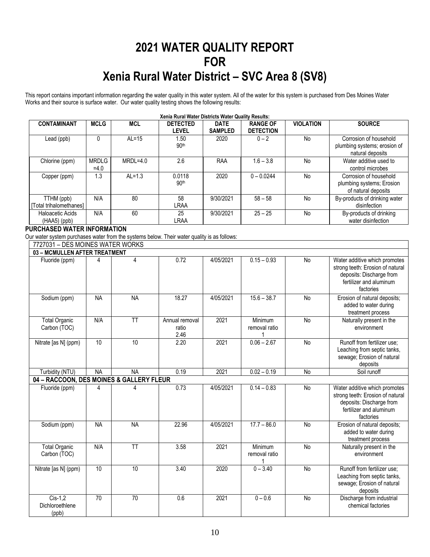## **2021 WATER QUALITY REPORT FOR Xenia Rural Water District – SVC Area 8 (SV8)**

This report contains important information regarding the water quality in this water system. All of the water for this system is purchased from Des Moines Water Works and their source is surface water. Our water quality testing shows the following results:

| <b>CONTAMINANT</b>                    | <b>MCLG</b>            | <b>MCL</b> | <b>DETECTED</b><br>level   | <b>DATE</b><br><b>SAMPLED</b> | <b>RANGE OF</b><br><b>DETECTION</b> | <b>VIOLATION</b> | <b>SOURCE</b>                                                              |
|---------------------------------------|------------------------|------------|----------------------------|-------------------------------|-------------------------------------|------------------|----------------------------------------------------------------------------|
| Lead (ppb)                            |                        | $AL=15$    | 1.50<br>90 <sup>th</sup>   | 2020                          | $0 - 2$                             | <b>No</b>        | Corrosion of household<br>plumbing systems; erosion of<br>natural deposits |
| Chlorine (ppm)                        | <b>MRDLG</b><br>$=4.0$ | $MRDL=4.0$ | 2.6                        | RAA                           | $1.6 - 3.8$                         | No               | Water additive used to<br>control microbes                                 |
| Copper (ppm)                          | 1.3                    | $AL=1.3$   | 0.0118<br>90 <sup>th</sup> | 2020                          | $0 - 0.0244$                        | <b>No</b>        | Corrosion of household<br>plumbing systems; Erosion<br>of natural deposits |
| TTHM (ppb)<br>[Total trihalomethanes] | N/A                    | 80         | 58<br>LRAA                 | 9/30/2021                     | $58 - 58$                           | No               | By-products of drinking water<br>disinfection                              |
| Haloacetic Acids<br>$(HAA5)$ (ppb)    | N/A                    | 60         | 25<br>LRAA                 | 9/30/2021                     | $25 - 25$                           | <b>No</b>        | By-products of drinking<br>water disinfection                              |

#### **PURCHASED WATER INFORMATION**

Our water system purchases water from the systems below. Their water quality is as follows:

| 7727031 - DES MOINES WATER WORKS         |           |           |                                 |           |                          |           |                                                                                                                                       |
|------------------------------------------|-----------|-----------|---------------------------------|-----------|--------------------------|-----------|---------------------------------------------------------------------------------------------------------------------------------------|
| 03 - MCMULLEN AFTER TREATMENT            |           |           |                                 |           |                          |           |                                                                                                                                       |
| Fluoride (ppm)                           | 4         | 4         | 0.72                            | 4/05/2021 | $0.15 - 0.93$            | <b>No</b> | Water additive which promotes<br>strong teeth: Erosion of natural<br>deposits: Discharge from<br>fertilizer and aluminum<br>factories |
| Sodium (ppm)                             | <b>NA</b> | <b>NA</b> | 18.27                           | 4/05/2021 | $15.6 - 38.7$            | <b>No</b> | Erosion of natural deposits;<br>added to water during<br>treatment process                                                            |
| <b>Total Organic</b><br>Carbon (TOC)     | N/A       | <b>TT</b> | Annual removal<br>ratio<br>2.46 | 2021      | Minimum<br>removal ratio | <b>No</b> | Naturally present in the<br>environment                                                                                               |
| Nitrate [as N] (ppm)                     | 10        | 10        | 2.20                            | 2021      | $0.06 - 2.67$            | <b>No</b> | Runoff from fertilizer use;<br>Leaching from septic tanks,<br>sewage; Erosion of natural<br>deposits                                  |
| Turbidity (NTU)                          | <b>NA</b> | <b>NA</b> | 0.19                            | 2021      | $0.02 - 0.19$            | <b>No</b> | Soil runoff                                                                                                                           |
| 04 - RACCOON, DES MOINES & GALLERY FLEUR |           |           |                                 |           |                          |           |                                                                                                                                       |
| Fluoride (ppm)                           | 4         |           | 0.73                            | 4/05/2021 | $0.14 - 0.83$            | <b>No</b> | Water additive which promotes<br>strong teeth: Erosion of natural<br>deposits: Discharge from<br>fertilizer and aluminum<br>factories |
| Sodium (ppm)                             | <b>NA</b> | <b>NA</b> | 22.96                           | 4/05/2021 | $17.7 - 86.0$            | <b>No</b> | Erosion of natural deposits;<br>added to water during<br>treatment process                                                            |
| <b>Total Organic</b><br>Carbon (TOC)     | N/A       | <b>TT</b> | 3.58                            | 2021      | Minimum<br>removal ratio | <b>No</b> | Naturally present in the<br>environment                                                                                               |
| Nitrate [as N] (ppm)                     | 10        | 10        | 3.40                            | 2020      | $0 - 3.40$               | <b>No</b> | Runoff from fertilizer use;<br>Leaching from septic tanks,<br>sewage; Erosion of natural<br>deposits                                  |
| $Cis-1.2$<br>Dichloroethlene<br>(ppb)    | 70        | 70        | 0.6                             | 2021      | $0 - 0.6$                | <b>No</b> | Discharge from industrial<br>chemical factories                                                                                       |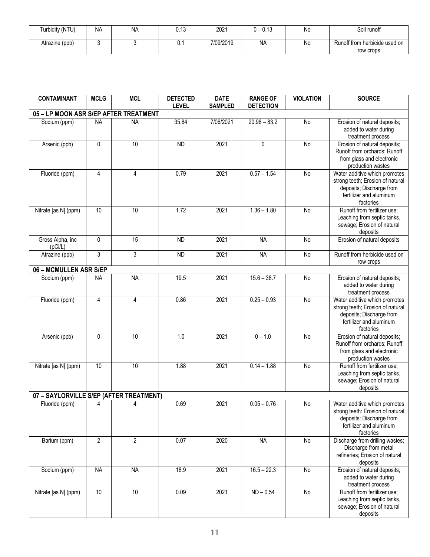| Turbidity (NTU) | <b>NA</b> | <b>NA</b> | $\sqrt{2}$<br>v. I v | 2021      | 0.40<br>$\theta = 0.10$ | No | Soil runoff                   |
|-----------------|-----------|-----------|----------------------|-----------|-------------------------|----|-------------------------------|
| Atrazine (ppb)  |           |           | υ. ι                 | 7/09/2019 | <b>NA</b>               | Nc | Runoff from herbicide used on |
|                 |           |           |                      |           |                         |    | row crops                     |

| <b>CONTAMINANT</b>                      | <b>MCLG</b>    | <b>MCL</b>      | <b>DETECTED</b><br><b>LEVEL</b> | <b>DATE</b><br><b>SAMPLED</b> | <b>RANGE OF</b><br><b>DETECTION</b> | <b>VIOLATION</b> | <b>SOURCE</b>                                                                                                                         |
|-----------------------------------------|----------------|-----------------|---------------------------------|-------------------------------|-------------------------------------|------------------|---------------------------------------------------------------------------------------------------------------------------------------|
| 05 - LP MOON ASR S/EP AFTER TREATMENT   |                |                 |                                 |                               |                                     |                  |                                                                                                                                       |
| Sodium (ppm)                            | <b>NA</b>      | <b>NA</b>       | 35.84                           | 7/06/2021                     | $20.98 - 83.2$                      | No               | Erosion of natural deposits;<br>added to water during<br>treatment process                                                            |
| Arsenic (ppb)                           | 0              | $\overline{10}$ | <b>ND</b>                       | 2021                          | 0                                   | No               | Erosion of natural deposits;<br>Runoff from orchards; Runoff<br>from glass and electronic<br>production wastes                        |
| Fluoride (ppm)                          | $\overline{4}$ | $\overline{4}$  | 0.79                            | 2021                          | $0.57 - 1.54$                       | No               | Water additive which promotes<br>strong teeth; Erosion of natural<br>deposits; Discharge from<br>fertilizer and aluminum<br>factories |
| Nitrate [as N] (ppm)                    | 10             | 10              | 1.72                            | 2021                          | $1.36 - 1.80$                       | <b>No</b>        | Runoff from fertilizer use;<br>Leaching from septic tanks,<br>sewage; Erosion of natural<br>deposits                                  |
| Gross Alpha, inc<br>(pCi/L)             | 0              | 15              | <b>ND</b>                       | 2021                          | <b>NA</b>                           | <b>No</b>        | Erosion of natural deposits                                                                                                           |
| Atrazine (ppb)                          | 3              | 3               | <b>ND</b>                       | 2021                          | <b>NA</b>                           | No               | Runoff from herbicide used on<br>row crops                                                                                            |
| 06 - MCMULLEN ASR S/EP                  |                |                 |                                 |                               |                                     |                  |                                                                                                                                       |
| Sodium (ppm)                            | <b>NA</b>      | <b>NA</b>       | 19.5                            | 2021                          | $15.6 - 38.7$                       | No               | Erosion of natural deposits;<br>added to water during<br>treatment process                                                            |
| Fluoride (ppm)                          | $\overline{4}$ | $\overline{4}$  | 0.86                            | 2021                          | $0.25 - 0.93$                       | No               | Water additive which promotes<br>strong teeth; Erosion of natural<br>deposits; Discharge from<br>fertilizer and aluminum<br>factories |
| Arsenic (ppb)                           | $\pmb{0}$      | 10              | 1.0                             | 2021                          | $0 - 1.0$                           | <b>No</b>        | Erosion of natural deposits;<br>Runoff from orchards; Runoff<br>from glass and electronic<br>production wastes                        |
| Nitrate [as N] (ppm)                    | 10             | 10              | 1.88                            | 2021                          | $0.14 - 1.88$                       | $\overline{N}$   | Runoff from fertilizer use;<br>Leaching from septic tanks,<br>sewage; Erosion of natural<br>deposits                                  |
| 07 - SAYLORVILLE S/EP (AFTER TREATMENT) |                |                 |                                 |                               |                                     |                  |                                                                                                                                       |
| Fluoride (ppm)                          | 4              | 4               | 0.69                            | 2021                          | $0.05 - 0.76$                       | No               | Water additive which promotes<br>strong teeth: Erosion of natural<br>deposits: Discharge from<br>fertilizer and aluminum<br>factories |
| Barium (ppm)                            | $\overline{2}$ | $\overline{2}$  | 0.07                            | 2020                          | <b>NA</b>                           | No               | Discharge from drilling wastes;<br>Discharge from metal<br>refineries; Erosion of natural<br>deposits                                 |
| Sodium (ppm)                            | <b>NA</b>      | <b>NA</b>       | 18.9                            | 2021                          | $16.5 - 22.3$                       | No               | Erosion of natural deposits;<br>added to water during<br>treatment process                                                            |
| Nitrate [as N] (ppm)                    | 10             | 10              | 0.09                            | 2021                          | $ND - 0.54$                         | No               | Runoff from fertilizer use;<br>Leaching from septic tanks,<br>sewage; Erosion of natural<br>deposits                                  |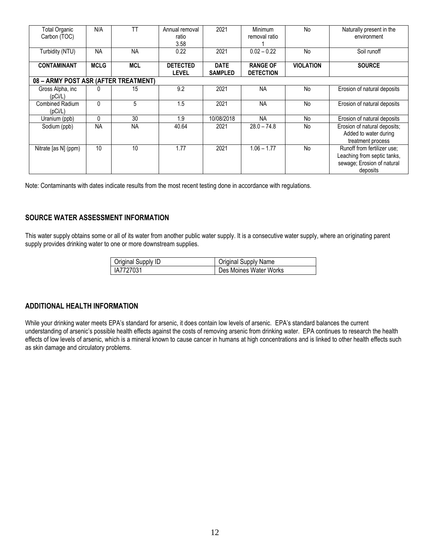| Total Organic<br>Carbon (TOC)        | N/A         | TT         | Annual removal<br>ratio<br>3.58 | 2021                          | Minimum<br>removal ratio            | <b>No</b>        | Naturally present in the<br>environment                                                              |
|--------------------------------------|-------------|------------|---------------------------------|-------------------------------|-------------------------------------|------------------|------------------------------------------------------------------------------------------------------|
| Turbidity (NTU)                      | <b>NA</b>   | <b>NA</b>  | 0.22                            | 2021                          | $0.02 - 0.22$                       | No               | Soil runoff                                                                                          |
| <b>CONTAMINANT</b>                   | <b>MCLG</b> | <b>MCL</b> | <b>DETECTED</b><br><b>LEVEL</b> | <b>DATE</b><br><b>SAMPLED</b> | <b>RANGE OF</b><br><b>DETECTION</b> | <b>VIOLATION</b> | <b>SOURCE</b>                                                                                        |
| 08 - ARMY POST ASR (AFTER TREATMENT) |             |            |                                 |                               |                                     |                  |                                                                                                      |
| Gross Alpha, inc<br>(pCi/L)          |             | 15         | 9.2                             | 2021                          | <b>NA</b>                           | <b>No</b>        | Erosion of natural deposits                                                                          |
| <b>Combined Radium</b><br>(pCi/L)    | $\Omega$    | 5          | 1.5                             | 2021                          | <b>NA</b>                           | No               | Erosion of natural deposits                                                                          |
| Uranium (ppb)                        | 0           | 30         | 1.9                             | 10/08/2018                    | <b>NA</b>                           | <b>No</b>        | Erosion of natural deposits                                                                          |
| Sodium (ppb)                         | <b>NA</b>   | <b>NA</b>  | 40.64                           | 2021                          | $28.0 - 74.8$                       | <b>No</b>        | Erosion of natural deposits;<br>Added to water during<br>treatment process                           |
| Nitrate [as N] (ppm)                 | 10          | 10         | 1.77                            | 2021                          | $1.06 - 1.77$                       | <b>No</b>        | Runoff from fertilizer use:<br>Leaching from septic tanks,<br>sewage; Erosion of natural<br>deposits |

Note: Contaminants with dates indicate results from the most recent testing done in accordance with regulations.

#### **SOURCE WATER ASSESSMENT INFORMATION**

This water supply obtains some or all of its water from another public water supply. It is a consecutive water supply, where an originating parent supply provides drinking water to one or more downstream supplies.

| Original Supply ID | Original Supply Name   |
|--------------------|------------------------|
| IA7727031          | Des Moines Water Works |

#### **ADDITIONAL HEALTH INFORMATION**

While your drinking water meets EPA's standard for arsenic, it does contain low levels of arsenic. EPA's standard balances the current understanding of arsenic's possible health effects against the costs of removing arsenic from drinking water. EPA continues to research the health effects of low levels of arsenic, which is a mineral known to cause cancer in humans at high concentrations and is linked to other health effects such as skin damage and circulatory problems.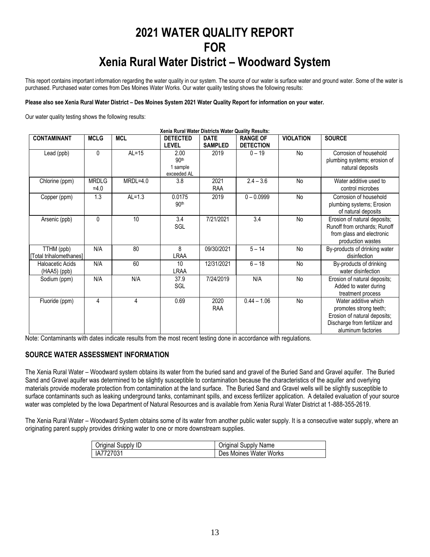## **2021 WATER QUALITY REPORT FOR Xenia Rural Water District – Woodward System**

This report contains important information regarding the water quality in our system. The source of our water is surface water and ground water. Some of the water is purchased. Purchased water comes from Des Moines Water Works. Our water quality testing shows the following results:

#### **Please also see Xenia Rural Water District – Des Moines System 2021 Water Quality Report for information on your water.**

Our water quality testing shows the following results:

|                                       | Xenia Rural Water Districts Water Quality Results: |            |                                                     |                               |                                     |                  |                                                                                                                                       |
|---------------------------------------|----------------------------------------------------|------------|-----------------------------------------------------|-------------------------------|-------------------------------------|------------------|---------------------------------------------------------------------------------------------------------------------------------------|
| <b>CONTAMINANT</b>                    | <b>MCLG</b>                                        | <b>MCL</b> | <b>DETECTED</b><br>LEVEL                            | <b>DATE</b><br><b>SAMPLED</b> | <b>RANGE OF</b><br><b>DETECTION</b> | <b>VIOLATION</b> | <b>SOURCE</b>                                                                                                                         |
| Lead (ppb)                            | 0                                                  | $AL=15$    | 2.00<br>90 <sup>th</sup><br>1 sample<br>exceeded AL | 2019                          | $0 - 19$                            | No               | Corrosion of household<br>plumbing systems; erosion of<br>natural deposits                                                            |
| Chlorine (ppm)                        | <b>MRDLG</b><br>$=4.0$                             | $MRDL=4.0$ | 3.8                                                 | 2021<br><b>RAA</b>            | $2.4 - 3.6$                         | No               | Water additive used to<br>control microbes                                                                                            |
| Copper (ppm)                          | 1.3                                                | $AL=1.3$   | 0.0175<br>90 <sup>th</sup>                          | 2019                          | $0 - 0.0999$                        | No               | Corrosion of household<br>plumbing systems; Erosion<br>of natural deposits                                                            |
| Arsenic (ppb)                         | 0                                                  | 10         | 3.4<br>SGL                                          | 7/21/2021                     | 3.4                                 | <b>No</b>        | Erosion of natural deposits;<br>Runoff from orchards; Runoff<br>from glass and electronic<br>production wastes                        |
| TTHM (ppb)<br>[Total trihalomethanes] | N/A                                                | 80         | 8<br>LRAA                                           | 09/30/2021                    | $5 - 14$                            | No               | By-products of drinking water<br>disinfection                                                                                         |
| Haloacetic Acids<br>(HAA5) (ppb)      | N/A                                                | 60         | 10<br><b>LRAA</b>                                   | 12/31/2021                    | $6 - 18$                            | No               | By-products of drinking<br>water disinfection                                                                                         |
| Sodium (ppm)                          | N/A                                                | N/A        | 37.9<br>SGL                                         | 7/24/2019                     | N/A                                 | No               | Erosion of natural deposits;<br>Added to water during<br>treatment process                                                            |
| Fluoride (ppm)                        | 4                                                  | 4          | 0.69                                                | 2020<br>RAA                   | $0.44 - 1.06$                       | <b>No</b>        | Water additive which<br>promotes strong teeth;<br>Erosion of natural deposits;<br>Discharge from fertilizer and<br>aluminum factories |

Note: Contaminants with dates indicate results from the most recent testing done in accordance with regulations.

#### **SOURCE WATER ASSESSMENT INFORMATION**

The Xenia Rural Water – Woodward system obtains its water from the buried sand and gravel of the Buried Sand and Gravel aquifer. The Buried Sand and Gravel aquifer was determined to be slightly susceptible to contamination because the characteristics of the aquifer and overlying materials provide moderate protection from contamination at the land surface. The Buried Sand and Gravel wells will be slightly susceptible to surface contaminants such as leaking underground tanks, contaminant spills, and excess fertilizer application. A detailed evaluation of your source water was completed by the Iowa Department of Natural Resources and is available from Xenia Rural Water District at 1-888-355-2619.

The Xenia Rural Water – Woodward System obtains some of its water from another public water supply. It is a consecutive water supply, where an originating parent supply provides drinking water to one or more downstream supplies.

| Original Supply ID | Original Supply Name   |
|--------------------|------------------------|
| IA7727031          | Des Moines Water Works |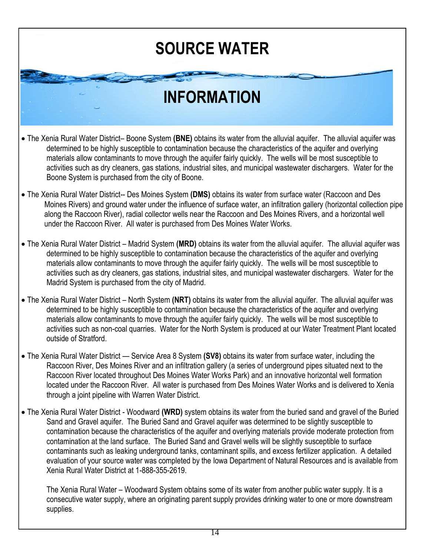# **[SOURCE WATER](http://www.google.com/url?sa=i&rct=j&q=WATER&source=images&cd=&cad=rja&docid=xZ26vX3t77TseM&tbnid=44lCefw_o5z_UM:&ved=0CAUQjRw&url=http://www.gizmodo.com.au/2012/06/this-is-how-much-water-it-takes-to-make-jeans-burgers-pizza-and-other-stuff%252)**

# **INFORMATION**

- The Xenia Rural Water District– Boone System **(BNE)** obtains its water from the alluvial aquifer. The alluvial aquifer was determined to be highly susceptible to contamination because the characteristics of the aquifer and overlying materials allow contaminants to move through the aquifer fairly quickly. The wells will be most susceptible to activities such as dry cleaners, gas stations, industrial sites, and municipal wastewater dischargers. Water for the Boone System is purchased from the city of Boone.
- The Xenia Rural Water District-- Des Moines System **(DMS)** obtains its water from surface water (Raccoon and Des Moines Rivers) and ground water under the influence of surface water, an infiltration gallery (horizontal collection pipe along the Raccoon River), radial collector wells near the Raccoon and Des Moines Rivers, and a horizontal well under the Raccoon River. All water is purchased from Des Moines Water Works.
- The Xenia Rural Water District Madrid System **(MRD)** obtains its water from the alluvial aquifer. The alluvial aquifer was determined to be highly susceptible to contamination because the characteristics of the aquifer and overlying materials allow contaminants to move through the aquifer fairly quickly. The wells will be most susceptible to activities such as dry cleaners, gas stations, industrial sites, and municipal wastewater dischargers. Water for the Madrid System is purchased from the city of Madrid.
- The Xenia Rural Water District North System **(NRT)** obtains its water from the alluvial aquifer. The alluvial aquifer was determined to be highly susceptible to contamination because the characteristics of the aquifer and overlying materials allow contaminants to move through the aquifer fairly quickly. The wells will be most susceptible to activities such as non-coal quarries. Water for the North System is produced at our Water Treatment Plant located outside of Stratford.
- The Xenia Rural Water District Service Area 8 System **(SV8)** obtains its water from surface water, including the Raccoon River, Des Moines River and an infiltration gallery (a series of underground pipes situated next to the Raccoon River located throughout Des Moines Water Works Park) and an innovative horizontal well formation located under the Raccoon River. All water is purchased from Des Moines Water Works and is delivered to Xenia through a joint pipeline with Warren Water District.
- The Xenia Rural Water District Woodward **(WRD)** system obtains its water from the buried sand and gravel of the Buried Sand and Gravel aquifer. The Buried Sand and Gravel aquifer was determined to be slightly susceptible to contamination because the characteristics of the aquifer and overlying materials provide moderate protection from contamination at the land surface. The Buried Sand and Gravel wells will be slightly susceptible to surface contaminants such as leaking underground tanks, contaminant spills, and excess fertilizer application. A detailed evaluation of your source water was completed by the Iowa Department of Natural Resources and is available from Xenia Rural Water District at 1-888-355-2619.

The Xenia Rural Water – Woodward System obtains some of its water from another public water supply. It is a consecutive water supply, where an originating parent supply provides drinking water to one or more downstream supplies.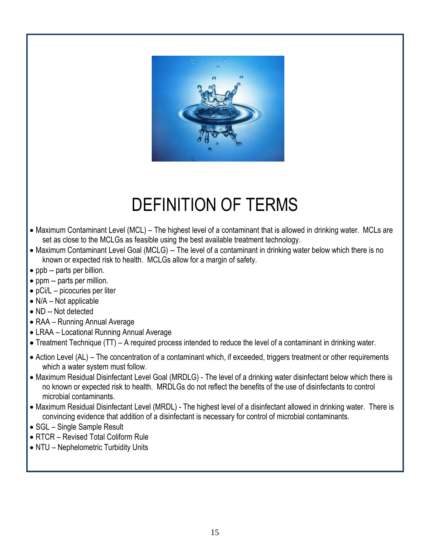

# DEFINITION OF TERMS

- Maximum Contaminant Level (MCL) The highest level of a contaminant that is allowed in drinking water. MCLs are set as close to the MCLGs as feasible using the best available treatment technology.
- Maximum Contaminant Level Goal (MCLG) -- The level of a contaminant in drinking water below which there is no known or expected risk to health. MCLGs allow for a margin of safety.
- ppb -- parts per billion.
- ppm -- parts per million.
- pCi/L picocuries per liter
- N/A Not applicable
- ND -- Not detected
- RAA Running Annual Average
- LRAA Locational Running Annual Average
- Treatment Technique (TT) A required process intended to reduce the level of a contaminant in drinking water.
- Action Level (AL) The concentration of a contaminant which, if exceeded, triggers treatment or other requirements which a water system must follow.
- Maximum Residual Disinfectant Level Goal (MRDLG) The level of a drinking water disinfectant below which there is no known or expected risk to health. MRDLGs do not reflect the benefits of the use of disinfectants to control microbial contaminants.
- Maximum Residual Disinfectant Level (MRDL) The highest level of a disinfectant allowed in drinking water. There is convincing evidence that addition of a disinfectant is necessary for control of microbial contaminants.
- SGL Single Sample Result
- RTCR Revised Total Coliform Rule
- NTU Nephelometric Turbidity Units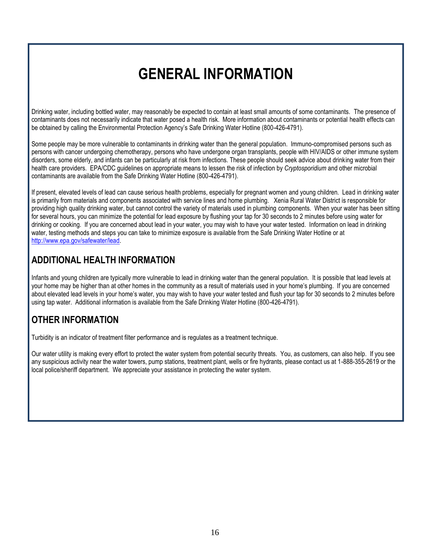## **GENERAL INFORMATION**

Drinking water, including bottled water, may reasonably be expected to contain at least small amounts of some contaminants. The presence of contaminants does not necessarily indicate that water posed a health risk. More information about contaminants or potential health effects can be obtained by calling the Environmental Protection Agency's Safe Drinking Water Hotline (800-426-4791).

Some people may be more vulnerable to contaminants in drinking water than the general population. Immuno-compromised persons such as persons with cancer undergoing chemotherapy, persons who have undergone organ transplants, people with HIV/AIDS or other immune system disorders, some elderly, and infants can be particularly at risk from infections. These people should seek advice about drinking water from their health care providers. EPA/CDC guidelines on appropriate means to lessen the risk of infection by *Cryptosporidium* and other microbial contaminants are available from the Safe Drinking Water Hotline (800-426-4791).

If present, elevated levels of lead can cause serious health problems, especially for pregnant women and young children. Lead in drinking water is primarily from materials and components associated with service lines and home plumbing. Xenia Rural Water District is responsible for providing high quality drinking water, but cannot control the variety of materials used in plumbing components. When your water has been sitting for several hours, you can minimize the potential for lead exposure by flushing your tap for 30 seconds to 2 minutes before using water for drinking or cooking. If you are concerned about lead in your water, you may wish to have your water tested. Information on lead in drinking water, testing methods and steps you can take to minimize exposure is available from the Safe Drinking Water Hotline or at [http://www.epa.gov/safewater/lead.](http://www.epa.gov/safewater/lead)

### **ADDITIONAL HEALTH INFORMATION**

Infants and young children are typically more vulnerable to lead in drinking water than the general population. It is possible that lead levels at your home may be higher than at other homes in the community as a result of materials used in your home's plumbing. If you are concerned about elevated lead levels in your home's water, you may wish to have your water tested and flush your tap for 30 seconds to 2 minutes before using tap water. Additional information is available from the Safe Drinking Water Hotline (800-426-4791).

### **OTHER INFORMATION**

Turbidity is an indicator of treatment filter performance and is regulates as a treatment technique.

Our water utility is making every effort to protect the water system from potential security threats. You, as customers, can also help. If you see any suspicious activity near the water towers, pump stations, treatment plant, wells or fire hydrants, please contact us at 1-888-355-2619 or the local police/sheriff department. We appreciate your assistance in protecting the water system.